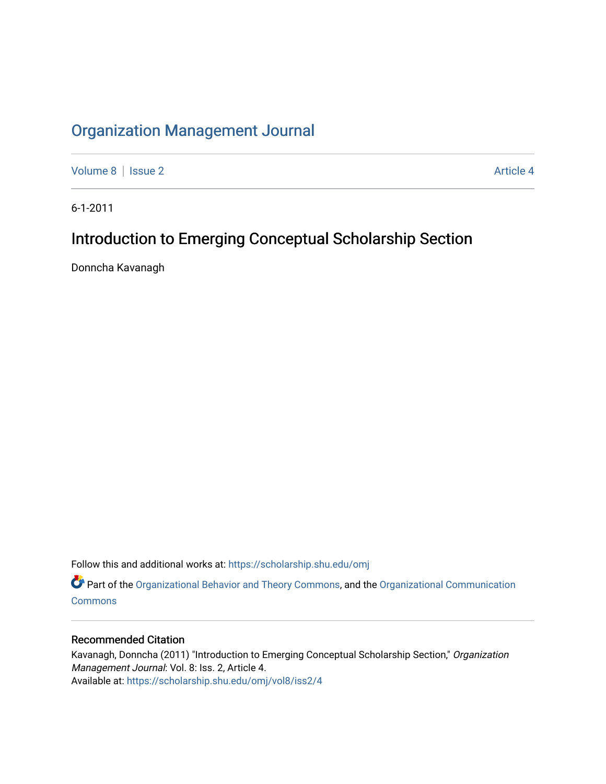# [Organization Management Journal](https://scholarship.shu.edu/omj)

[Volume 8](https://scholarship.shu.edu/omj/vol8) | [Issue 2](https://scholarship.shu.edu/omj/vol8/iss2) Article 4

6-1-2011

# Introduction to Emerging Conceptual Scholarship Section

Donncha Kavanagh

Follow this and additional works at: [https://scholarship.shu.edu/omj](https://scholarship.shu.edu/omj?utm_source=scholarship.shu.edu%2Fomj%2Fvol8%2Fiss2%2F4&utm_medium=PDF&utm_campaign=PDFCoverPages) 

Part of the [Organizational Behavior and Theory Commons,](http://network.bepress.com/hgg/discipline/639?utm_source=scholarship.shu.edu%2Fomj%2Fvol8%2Fiss2%2F4&utm_medium=PDF&utm_campaign=PDFCoverPages) and the [Organizational Communication](http://network.bepress.com/hgg/discipline/335?utm_source=scholarship.shu.edu%2Fomj%2Fvol8%2Fiss2%2F4&utm_medium=PDF&utm_campaign=PDFCoverPages) **[Commons](http://network.bepress.com/hgg/discipline/335?utm_source=scholarship.shu.edu%2Fomj%2Fvol8%2Fiss2%2F4&utm_medium=PDF&utm_campaign=PDFCoverPages)** 

#### Recommended Citation

Kavanagh, Donncha (2011) "Introduction to Emerging Conceptual Scholarship Section," Organization Management Journal: Vol. 8: Iss. 2, Article 4. Available at: [https://scholarship.shu.edu/omj/vol8/iss2/4](https://scholarship.shu.edu/omj/vol8/iss2/4?utm_source=scholarship.shu.edu%2Fomj%2Fvol8%2Fiss2%2F4&utm_medium=PDF&utm_campaign=PDFCoverPages)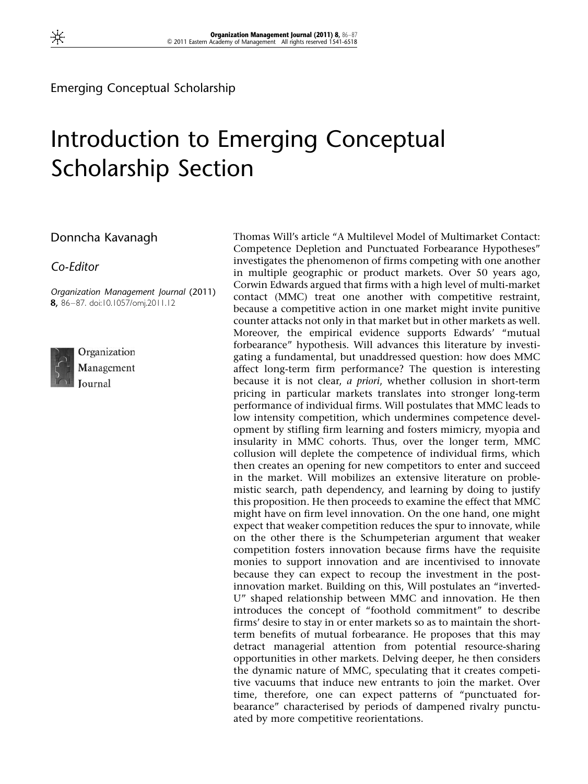## Emerging Conceptual Scholarship

# Introduction to Emerging Conceptual Scholarship Section

## Donncha Kavanagh

### Co-Editor

Organization Management Journal (2011) 8, 86–87. doi:10.1057/omj.2011.12



Management **Iournal** 

Thomas Will's article "A Multilevel Model of Multimarket Contact: Competence Depletion and Punctuated Forbearance Hypotheses" investigates the phenomenon of firms competing with one another in multiple geographic or product markets. Over 50 years ago, Corwin Edwards argued that firms with a high level of multi-market contact (MMC) treat one another with competitive restraint, because a competitive action in one market might invite punitive counter attacks not only in that market but in other markets as well. Moreover, the empirical evidence supports Edwards' "mutual forbearance" hypothesis. Will advances this literature by investigating a fundamental, but unaddressed question: how does MMC affect long-term firm performance? The question is interesting because it is not clear, a priori, whether collusion in short-term pricing in particular markets translates into stronger long-term performance of individual firms. Will postulates that MMC leads to low intensity competition, which undermines competence development by stifling firm learning and fosters mimicry, myopia and insularity in MMC cohorts. Thus, over the longer term, MMC collusion will deplete the competence of individual firms, which then creates an opening for new competitors to enter and succeed in the market. Will mobilizes an extensive literature on problemistic search, path dependency, and learning by doing to justify this proposition. He then proceeds to examine the effect that MMC might have on firm level innovation. On the one hand, one might expect that weaker competition reduces the spur to innovate, while on the other there is the Schumpeterian argument that weaker competition fosters innovation because firms have the requisite monies to support innovation and are incentivised to innovate because they can expect to recoup the investment in the postinnovation market. Building on this, Will postulates an "inverted-U" shaped relationship between MMC and innovation. He then introduces the concept of "foothold commitment" to describe firms' desire to stay in or enter markets so as to maintain the shortterm benefits of mutual forbearance. He proposes that this may detract managerial attention from potential resource-sharing opportunities in other markets. Delving deeper, he then considers the dynamic nature of MMC, speculating that it creates competitive vacuums that induce new entrants to join the market. Over time, therefore, one can expect patterns of "punctuated forbearance" characterised by periods of dampened rivalry punctuated by more competitive reorientations.